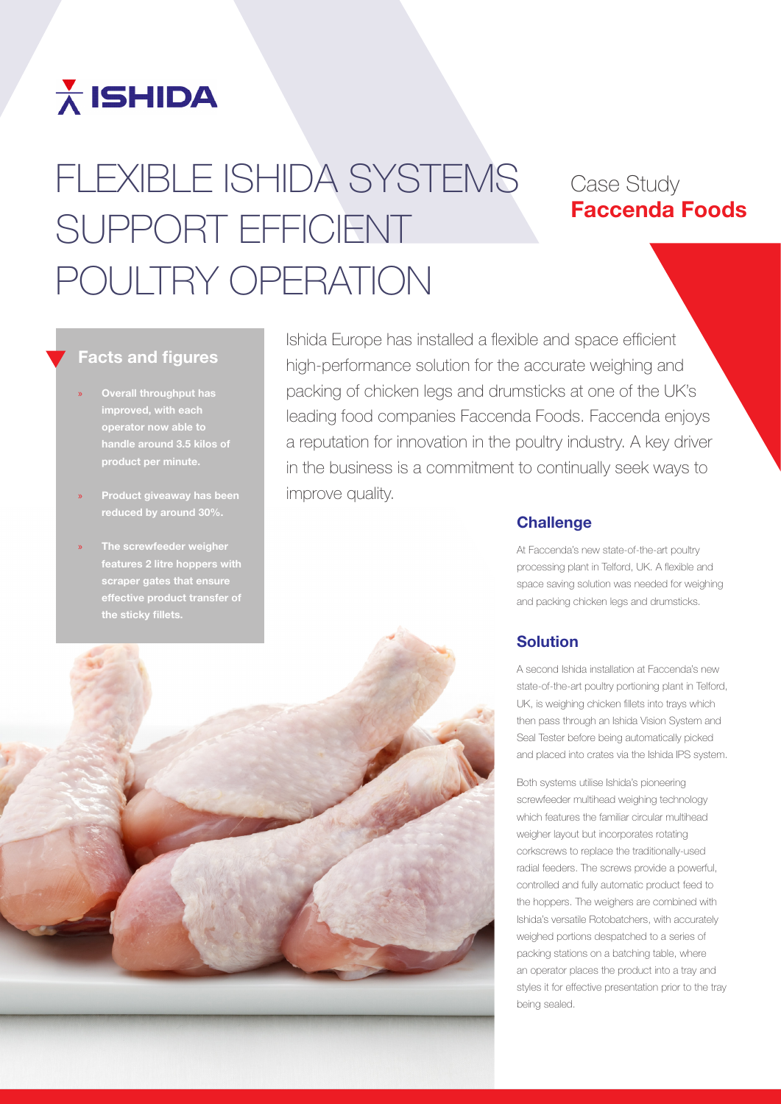

# FLEXIBLE ISHIDA SYSTEMS SUPPORT EFFICIENT POULTRY OPERATION

# Case Study Faccenda Foods

### Facts and figures

- » Overall throughput has improved, with each product per minute.
- » Product giveaway has been reduced by around 30%.
- The screwfeeder weigher features 2 litre hoppers with scraper gates that ens the sticky fillets.

Ishida Europe has installed a flexible and space efficient high-performance solution for the accurate weighing and packing of chicken legs and drumsticks at one of the UK's leading food companies Faccenda Foods. Faccenda enjoys a reputation for innovation in the poultry industry. A key driver in the business is a commitment to continually seek ways to improve quality.

#### **Challenge**

At Faccenda's new state-of-the-art poultry processing plant in Telford, UK. A flexible and space saving solution was needed for weighing and packing chicken legs and drumsticks.

## Solution

A second Ishida installation at Faccenda's new state-of-the-art poultry portioning plant in Telford, UK, is weighing chicken fillets into trays which then pass through an Ishida Vision System and Seal Tester before being automatically picked and placed into crates via the Ishida IPS system.

Both systems utilise Ishida's pioneering screwfeeder multihead weighing technology which features the familiar circular multihead weigher layout but incorporates rotating corkscrews to replace the traditionally-used radial feeders. The screws provide a powerful, controlled and fully automatic product feed to the hoppers. The weighers are combined with Ishida's versatile Rotobatchers, with accurately weighed portions despatched to a series of packing stations on a batching table, where an operator places the product into a tray and styles it for effective presentation prior to the tray being sealed.